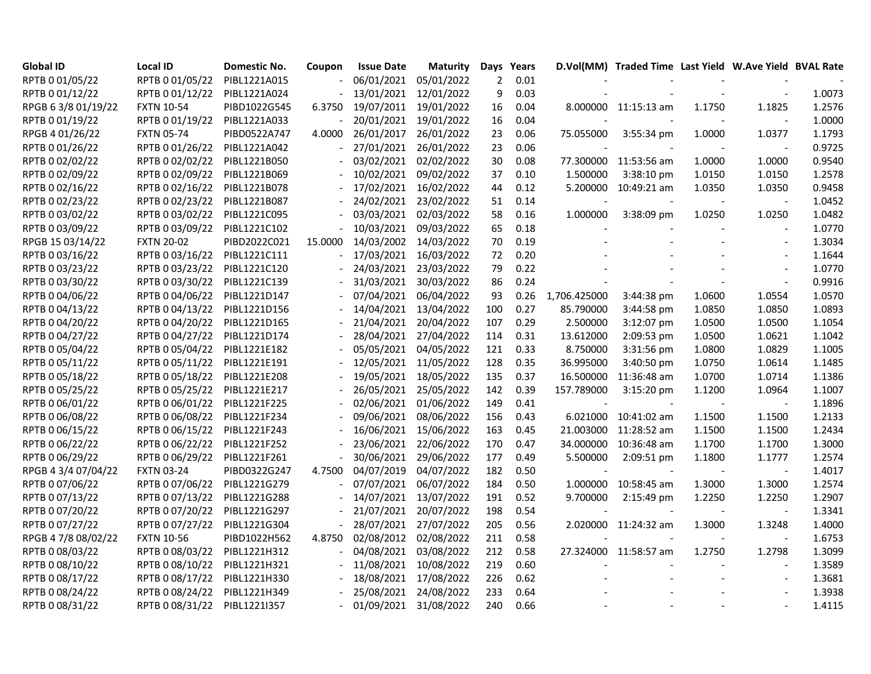| <b>Global ID</b>    | <b>Local ID</b>   | <b>Domestic No.</b> | Coupon  | <b>Issue Date</b> | <b>Maturity</b> | Days           | Years |                          | D.Vol(MM) Traded Time Last Yield W.Ave Yield BVAL Rate |        |                          |        |
|---------------------|-------------------|---------------------|---------|-------------------|-----------------|----------------|-------|--------------------------|--------------------------------------------------------|--------|--------------------------|--------|
| RPTB 0 01/05/22     | RPTB 0 01/05/22   | PIBL1221A015        |         | 06/01/2021        | 05/01/2022      | $\overline{2}$ | 0.01  |                          |                                                        |        |                          |        |
| RPTB 0 01/12/22     | RPTB 0 01/12/22   | PIBL1221A024        |         | 13/01/2021        | 12/01/2022      | 9              | 0.03  |                          |                                                        |        |                          | 1.0073 |
| RPGB 63/8 01/19/22  | <b>FXTN 10-54</b> | PIBD1022G545        | 6.3750  | 19/07/2011        | 19/01/2022      | 16             | 0.04  |                          | 8.000000 11:15:13 am                                   | 1.1750 | 1.1825                   | 1.2576 |
| RPTB 0 01/19/22     | RPTB 0 01/19/22   | PIBL1221A033        |         | 20/01/2021        | 19/01/2022      | 16             | 0.04  |                          |                                                        |        |                          | 1.0000 |
| RPGB 4 01/26/22     | <b>FXTN 05-74</b> | PIBD0522A747        | 4.0000  | 26/01/2017        | 26/01/2022      | 23             | 0.06  | 75.055000                | 3:55:34 pm                                             | 1.0000 | 1.0377                   | 1.1793 |
| RPTB 0 01/26/22     | RPTB 0 01/26/22   | PIBL1221A042        |         | 27/01/2021        | 26/01/2022      | 23             | 0.06  |                          |                                                        |        |                          | 0.9725 |
| RPTB 0 02/02/22     | RPTB 0 02/02/22   | PIBL1221B050        |         | 03/02/2021        | 02/02/2022      | 30             | 0.08  |                          | 77.300000 11:53:56 am                                  | 1.0000 | 1.0000                   | 0.9540 |
| RPTB 0 02/09/22     | RPTB 0 02/09/22   | PIBL1221B069        |         | 10/02/2021        | 09/02/2022      | 37             | 0.10  | 1.500000                 | 3:38:10 pm                                             | 1.0150 | 1.0150                   | 1.2578 |
| RPTB 0 02/16/22     | RPTB 0 02/16/22   | PIBL1221B078        |         | 17/02/2021        | 16/02/2022      | 44             | 0.12  |                          | 5.200000 10:49:21 am                                   | 1.0350 | 1.0350                   | 0.9458 |
| RPTB 0 02/23/22     | RPTB 0 02/23/22   | PIBL1221B087        |         | 24/02/2021        | 23/02/2022      | 51             | 0.14  |                          |                                                        |        |                          | 1.0452 |
| RPTB 0 03/02/22     | RPTB 0 03/02/22   | PIBL1221C095        |         | 03/03/2021        | 02/03/2022      | 58             | 0.16  | 1.000000                 | 3:38:09 pm                                             | 1.0250 | 1.0250                   | 1.0482 |
| RPTB 0 03/09/22     | RPTB 0 03/09/22   | PIBL1221C102        |         | 10/03/2021        | 09/03/2022      | 65             | 0.18  |                          |                                                        |        | $\overline{\phantom{a}}$ | 1.0770 |
| RPGB 15 03/14/22    | <b>FXTN 20-02</b> | PIBD2022C021        | 15.0000 | 14/03/2002        | 14/03/2022      | 70             | 0.19  |                          |                                                        |        | $\sim$                   | 1.3034 |
| RPTB 0 03/16/22     | RPTB 0 03/16/22   | PIBL1221C111        |         | 17/03/2021        | 16/03/2022      | 72             | 0.20  |                          |                                                        |        | $\overline{a}$           | 1.1644 |
| RPTB 0 03/23/22     | RPTB 0 03/23/22   | PIBL1221C120        |         | 24/03/2021        | 23/03/2022      | 79             | 0.22  |                          |                                                        |        | $\overline{\phantom{a}}$ | 1.0770 |
| RPTB 0 03/30/22     | RPTB 0 03/30/22   | PIBL1221C139        |         | 31/03/2021        | 30/03/2022      | 86             | 0.24  |                          |                                                        |        |                          | 0.9916 |
| RPTB 0 04/06/22     | RPTB 0 04/06/22   | PIBL1221D147        |         | 07/04/2021        | 06/04/2022      | 93             | 0.26  | 1,706.425000             | 3:44:38 pm                                             | 1.0600 | 1.0554                   | 1.0570 |
| RPTB 0 04/13/22     | RPTB 0 04/13/22   | PIBL1221D156        |         | 14/04/2021        | 13/04/2022      | 100            | 0.27  | 85.790000                | 3:44:58 pm                                             | 1.0850 | 1.0850                   | 1.0893 |
| RPTB 0 04/20/22     | RPTB 0 04/20/22   | PIBL1221D165        |         | 21/04/2021        | 20/04/2022      | 107            | 0.29  | 2.500000                 | 3:12:07 pm                                             | 1.0500 | 1.0500                   | 1.1054 |
| RPTB 0 04/27/22     | RPTB 0 04/27/22   | PIBL1221D174        |         | 28/04/2021        | 27/04/2022      | 114            | 0.31  | 13.612000                | 2:09:53 pm                                             | 1.0500 | 1.0621                   | 1.1042 |
| RPTB 0 05/04/22     | RPTB 0 05/04/22   | PIBL1221E182        |         | 05/05/2021        | 04/05/2022      | 121            | 0.33  | 8.750000                 | 3:31:56 pm                                             | 1.0800 | 1.0829                   | 1.1005 |
| RPTB 0 05/11/22     | RPTB 0 05/11/22   | PIBL1221E191        |         | 12/05/2021        | 11/05/2022      | 128            | 0.35  | 36.995000                | 3:40:50 pm                                             | 1.0750 | 1.0614                   | 1.1485 |
| RPTB 0 05/18/22     | RPTB 0 05/18/22   | PIBL1221E208        |         | 19/05/2021        | 18/05/2022      | 135            | 0.37  | 16.500000                | 11:36:48 am                                            | 1.0700 | 1.0714                   | 1.1386 |
| RPTB 0 05/25/22     | RPTB 0 05/25/22   | PIBL1221E217        |         | 26/05/2021        | 25/05/2022      | 142            | 0.39  | 157.789000               | 3:15:20 pm                                             | 1.1200 | 1.0964                   | 1.1007 |
| RPTB 0 06/01/22     | RPTB 0 06/01/22   | PIBL1221F225        |         | 02/06/2021        | 01/06/2022      | 149            | 0.41  | $\overline{\phantom{a}}$ |                                                        |        | $\blacksquare$           | 1.1896 |
| RPTB 0 06/08/22     | RPTB 0 06/08/22   | PIBL1221F234        |         | 09/06/2021        | 08/06/2022      | 156            | 0.43  | 6.021000                 | 10:41:02 am                                            | 1.1500 | 1.1500                   | 1.2133 |
| RPTB 0 06/15/22     | RPTB 0 06/15/22   | PIBL1221F243        |         | 16/06/2021        | 15/06/2022      | 163            | 0.45  |                          | 21.003000 11:28:52 am                                  | 1.1500 | 1.1500                   | 1.2434 |
| RPTB 0 06/22/22     | RPTB 0 06/22/22   | PIBL1221F252        |         | 23/06/2021        | 22/06/2022      | 170            | 0.47  | 34.000000                | 10:36:48 am                                            | 1.1700 | 1.1700                   | 1.3000 |
| RPTB 0 06/29/22     | RPTB 0 06/29/22   | PIBL1221F261        |         | 30/06/2021        | 29/06/2022      | 177            | 0.49  | 5.500000                 | 2:09:51 pm                                             | 1.1800 | 1.1777                   | 1.2574 |
| RPGB 4 3/4 07/04/22 | <b>FXTN 03-24</b> | PIBD0322G247        | 4.7500  | 04/07/2019        | 04/07/2022      | 182            | 0.50  |                          |                                                        |        | $\sim$                   | 1.4017 |
| RPTB 0 07/06/22     | RPTB 0 07/06/22   | PIBL1221G279        |         | 07/07/2021        | 06/07/2022      | 184            | 0.50  |                          | 1.000000 10:58:45 am                                   | 1.3000 | 1.3000                   | 1.2574 |
| RPTB 0 07/13/22     | RPTB 0 07/13/22   | PIBL1221G288        |         | 14/07/2021        | 13/07/2022      | 191            | 0.52  | 9.700000                 | 2:15:49 pm                                             | 1.2250 | 1.2250                   | 1.2907 |
| RPTB 0 07/20/22     | RPTB 0 07/20/22   | PIBL1221G297        |         | 21/07/2021        | 20/07/2022      | 198            | 0.54  |                          |                                                        |        |                          | 1.3341 |
| RPTB 0 07/27/22     | RPTB 0 07/27/22   | PIBL1221G304        |         | 28/07/2021        | 27/07/2022      | 205            | 0.56  |                          | 2.020000 11:24:32 am                                   | 1.3000 | 1.3248                   | 1.4000 |
| RPGB 4 7/8 08/02/22 | <b>FXTN 10-56</b> | PIBD1022H562        | 4.8750  | 02/08/2012        | 02/08/2022      | 211            | 0.58  |                          |                                                        |        | $\overline{a}$           | 1.6753 |
| RPTB 0 08/03/22     | RPTB 0 08/03/22   | PIBL1221H312        |         | 04/08/2021        | 03/08/2022      | 212            | 0.58  |                          | 27.324000 11:58:57 am                                  | 1.2750 | 1.2798                   | 1.3099 |
| RPTB 0 08/10/22     | RPTB 0 08/10/22   | PIBL1221H321        |         | 11/08/2021        | 10/08/2022      | 219            | 0.60  |                          |                                                        |        | $\overline{\phantom{a}}$ | 1.3589 |
| RPTB 0 08/17/22     | RPTB 0 08/17/22   | PIBL1221H330        |         | 18/08/2021        | 17/08/2022      | 226            | 0.62  |                          |                                                        |        | $\overline{\phantom{a}}$ | 1.3681 |
| RPTB 0 08/24/22     | RPTB 0 08/24/22   | PIBL1221H349        |         | 25/08/2021        | 24/08/2022      | 233            | 0.64  |                          |                                                        |        |                          | 1.3938 |
| RPTB 0 08/31/22     | RPTB 0 08/31/22   | PIBL1221I357        |         | 01/09/2021        | 31/08/2022      | 240            | 0.66  |                          |                                                        |        |                          | 1.4115 |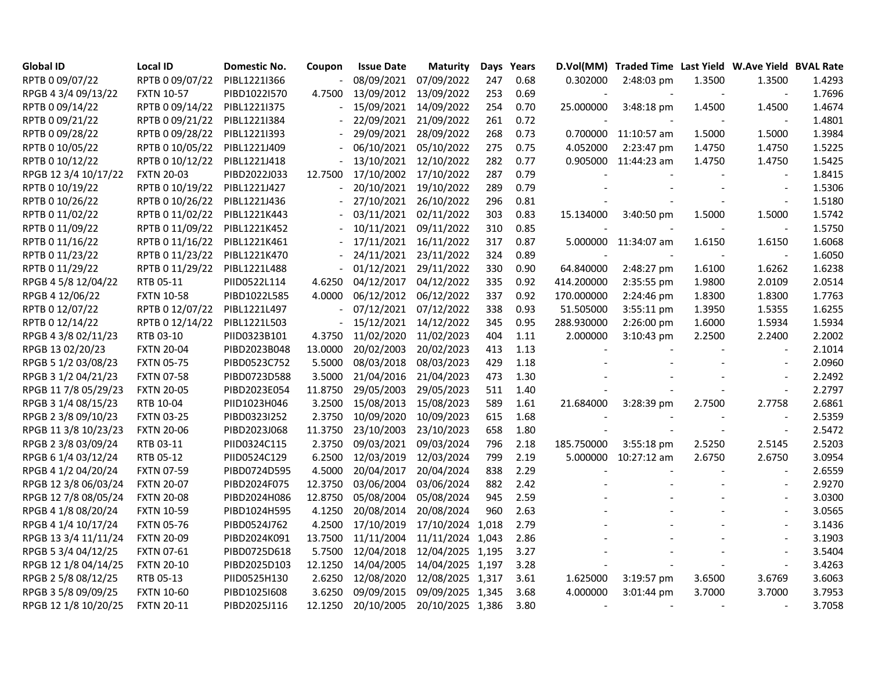| <b>Global ID</b>     | <b>Local ID</b>   | <b>Domestic No.</b> | Coupon         | <b>Issue Date</b> | <b>Maturity</b>  |     | Days Years |            | D.Vol(MM) Traded Time Last Yield W.Ave Yield BVAL Rate |        |                          |        |
|----------------------|-------------------|---------------------|----------------|-------------------|------------------|-----|------------|------------|--------------------------------------------------------|--------|--------------------------|--------|
| RPTB 0 09/07/22      | RPTB 0 09/07/22   | PIBL1221I366        |                | 08/09/2021        | 07/09/2022       | 247 | 0.68       | 0.302000   | 2:48:03 pm                                             | 1.3500 | 1.3500                   | 1.4293 |
| RPGB 4 3/4 09/13/22  | <b>FXTN 10-57</b> | PIBD1022I570        | 4.7500         | 13/09/2012        | 13/09/2022       | 253 | 0.69       |            |                                                        |        | $\overline{a}$           | 1.7696 |
| RPTB 0 09/14/22      | RPTB 0 09/14/22   | PIBL1221I375        |                | 15/09/2021        | 14/09/2022       | 254 | 0.70       | 25.000000  | 3:48:18 pm                                             | 1.4500 | 1.4500                   | 1.4674 |
| RPTB 0 09/21/22      | RPTB 0 09/21/22   | PIBL1221I384        |                | 22/09/2021        | 21/09/2022       | 261 | 0.72       |            |                                                        |        |                          | 1.4801 |
| RPTB 0 09/28/22      | RPTB 0 09/28/22   | PIBL1221I393        |                | 29/09/2021        | 28/09/2022       | 268 | 0.73       |            | 0.700000 11:10:57 am                                   | 1.5000 | 1.5000                   | 1.3984 |
| RPTB 0 10/05/22      | RPTB 0 10/05/22   | PIBL1221J409        |                | 06/10/2021        | 05/10/2022       | 275 | 0.75       | 4.052000   | 2:23:47 pm                                             | 1.4750 | 1.4750                   | 1.5225 |
| RPTB 0 10/12/22      | RPTB 0 10/12/22   | PIBL1221J418        |                | 13/10/2021        | 12/10/2022       | 282 | 0.77       |            | 0.905000 11:44:23 am                                   | 1.4750 | 1.4750                   | 1.5425 |
| RPGB 12 3/4 10/17/22 | <b>FXTN 20-03</b> | PIBD2022J033        | 12.7500        | 17/10/2002        | 17/10/2022       | 287 | 0.79       |            |                                                        |        | $\overline{\phantom{a}}$ | 1.8415 |
| RPTB 0 10/19/22      | RPTB 0 10/19/22   | PIBL1221J427        |                | 20/10/2021        | 19/10/2022       | 289 | 0.79       |            |                                                        |        | $\overline{\phantom{a}}$ | 1.5306 |
| RPTB 0 10/26/22      | RPTB 0 10/26/22   | PIBL1221J436        |                | 27/10/2021        | 26/10/2022       | 296 | 0.81       |            |                                                        |        |                          | 1.5180 |
| RPTB 0 11/02/22      | RPTB 0 11/02/22   | PIBL1221K443        |                | 03/11/2021        | 02/11/2022       | 303 | 0.83       | 15.134000  | 3:40:50 pm                                             | 1.5000 | 1.5000                   | 1.5742 |
| RPTB 0 11/09/22      | RPTB 0 11/09/22   | PIBL1221K452        |                | 10/11/2021        | 09/11/2022       | 310 | 0.85       |            |                                                        |        | $\blacksquare$           | 1.5750 |
| RPTB 0 11/16/22      | RPTB 0 11/16/22   | PIBL1221K461        |                | 17/11/2021        | 16/11/2022       | 317 | 0.87       | 5.000000   | 11:34:07 am                                            | 1.6150 | 1.6150                   | 1.6068 |
| RPTB 0 11/23/22      | RPTB 0 11/23/22   | PIBL1221K470        |                | 24/11/2021        | 23/11/2022       | 324 | 0.89       |            |                                                        |        | $\sim$                   | 1.6050 |
| RPTB 0 11/29/22      | RPTB 0 11/29/22   | PIBL1221L488        |                | 01/12/2021        | 29/11/2022       | 330 | 0.90       | 64.840000  | 2:48:27 pm                                             | 1.6100 | 1.6262                   | 1.6238 |
| RPGB 4 5/8 12/04/22  | RTB 05-11         | PIID0522L114        | 4.6250         | 04/12/2017        | 04/12/2022       | 335 | 0.92       | 414.200000 | 2:35:55 pm                                             | 1.9800 | 2.0109                   | 2.0514 |
| RPGB 4 12/06/22      | <b>FXTN 10-58</b> | PIBD1022L585        | 4.0000         | 06/12/2012        | 06/12/2022       | 337 | 0.92       | 170.000000 | 2:24:46 pm                                             | 1.8300 | 1.8300                   | 1.7763 |
| RPTB 0 12/07/22      | RPTB 0 12/07/22   | PIBL1221L497        |                | 07/12/2021        | 07/12/2022       | 338 | 0.93       | 51.505000  | 3:55:11 pm                                             | 1.3950 | 1.5355                   | 1.6255 |
| RPTB 0 12/14/22      | RPTB 0 12/14/22   | PIBL1221L503        | $\blacksquare$ | 15/12/2021        | 14/12/2022       | 345 | 0.95       | 288.930000 | 2:26:00 pm                                             | 1.6000 | 1.5934                   | 1.5934 |
| RPGB 4 3/8 02/11/23  | RTB 03-10         | PIID0323B101        | 4.3750         | 11/02/2020        | 11/02/2023       | 404 | 1.11       | 2.000000   | 3:10:43 pm                                             | 2.2500 | 2.2400                   | 2.2002 |
| RPGB 13 02/20/23     | <b>FXTN 20-04</b> | PIBD2023B048        | 13.0000        | 20/02/2003        | 20/02/2023       | 413 | 1.13       |            |                                                        |        |                          | 2.1014 |
| RPGB 5 1/2 03/08/23  | <b>FXTN 05-75</b> | PIBD0523C752        | 5.5000         | 08/03/2018        | 08/03/2023       | 429 | 1.18       |            |                                                        |        |                          | 2.0960 |
| RPGB 3 1/2 04/21/23  | <b>FXTN 07-58</b> | PIBD0723D588        | 3.5000         | 21/04/2016        | 21/04/2023       | 473 | 1.30       |            |                                                        |        |                          | 2.2492 |
| RPGB 11 7/8 05/29/23 | <b>FXTN 20-05</b> | PIBD2023E054        | 11.8750        | 29/05/2003        | 29/05/2023       | 511 | 1.40       |            |                                                        |        | $\overline{a}$           | 2.2797 |
| RPGB 3 1/4 08/15/23  | RTB 10-04         | PIID1023H046        | 3.2500         | 15/08/2013        | 15/08/2023       | 589 | 1.61       | 21.684000  | 3:28:39 pm                                             | 2.7500 | 2.7758                   | 2.6861 |
| RPGB 2 3/8 09/10/23  | <b>FXTN 03-25</b> | PIBD0323I252        | 2.3750         | 10/09/2020        | 10/09/2023       | 615 | 1.68       |            |                                                        |        |                          | 2.5359 |
| RPGB 11 3/8 10/23/23 | <b>FXTN 20-06</b> | PIBD2023J068        | 11.3750        | 23/10/2003        | 23/10/2023       | 658 | 1.80       |            |                                                        |        | $\overline{a}$           | 2.5472 |
| RPGB 2 3/8 03/09/24  | RTB 03-11         | PIID0324C115        | 2.3750         | 09/03/2021        | 09/03/2024       | 796 | 2.18       | 185.750000 | 3:55:18 pm                                             | 2.5250 | 2.5145                   | 2.5203 |
| RPGB 6 1/4 03/12/24  | RTB 05-12         | PIID0524C129        | 6.2500         | 12/03/2019        | 12/03/2024       | 799 | 2.19       | 5.000000   | 10:27:12 am                                            | 2.6750 | 2.6750                   | 3.0954 |
| RPGB 4 1/2 04/20/24  | <b>FXTN 07-59</b> | PIBD0724D595        | 4.5000         | 20/04/2017        | 20/04/2024       | 838 | 2.29       |            |                                                        |        | $\overline{a}$           | 2.6559 |
| RPGB 12 3/8 06/03/24 | <b>FXTN 20-07</b> | PIBD2024F075        | 12.3750        | 03/06/2004        | 03/06/2024       | 882 | 2.42       |            |                                                        |        | $\overline{\phantom{a}}$ | 2.9270 |
| RPGB 12 7/8 08/05/24 | <b>FXTN 20-08</b> | PIBD2024H086        | 12.8750        | 05/08/2004        | 05/08/2024       | 945 | 2.59       |            |                                                        |        | $\overline{a}$           | 3.0300 |
| RPGB 4 1/8 08/20/24  | <b>FXTN 10-59</b> | PIBD1024H595        | 4.1250         | 20/08/2014        | 20/08/2024       | 960 | 2.63       |            |                                                        |        |                          | 3.0565 |
| RPGB 4 1/4 10/17/24  | <b>FXTN 05-76</b> | PIBD0524J762        | 4.2500         | 17/10/2019        | 17/10/2024 1,018 |     | 2.79       |            |                                                        |        |                          | 3.1436 |
| RPGB 13 3/4 11/11/24 | <b>FXTN 20-09</b> | PIBD2024K091        | 13.7500        | 11/11/2004        | 11/11/2024 1,043 |     | 2.86       |            |                                                        |        |                          | 3.1903 |
| RPGB 5 3/4 04/12/25  | <b>FXTN 07-61</b> | PIBD0725D618        | 5.7500         | 12/04/2018        | 12/04/2025 1,195 |     | 3.27       |            |                                                        |        |                          | 3.5404 |
| RPGB 12 1/8 04/14/25 | <b>FXTN 20-10</b> | PIBD2025D103        | 12.1250        | 14/04/2005        | 14/04/2025 1,197 |     | 3.28       |            |                                                        |        | $\overline{a}$           | 3.4263 |
| RPGB 2 5/8 08/12/25  | RTB 05-13         | PIID0525H130        | 2.6250         | 12/08/2020        | 12/08/2025 1,317 |     | 3.61       | 1.625000   | 3:19:57 pm                                             | 3.6500 | 3.6769                   | 3.6063 |
| RPGB 3 5/8 09/09/25  | <b>FXTN 10-60</b> | PIBD1025I608        | 3.6250         | 09/09/2015        | 09/09/2025 1,345 |     | 3.68       | 4.000000   | 3:01:44 pm                                             | 3.7000 | 3.7000                   | 3.7953 |
| RPGB 12 1/8 10/20/25 | <b>FXTN 20-11</b> | PIBD2025J116        | 12.1250        | 20/10/2005        | 20/10/2025 1,386 |     | 3.80       |            |                                                        |        |                          | 3.7058 |